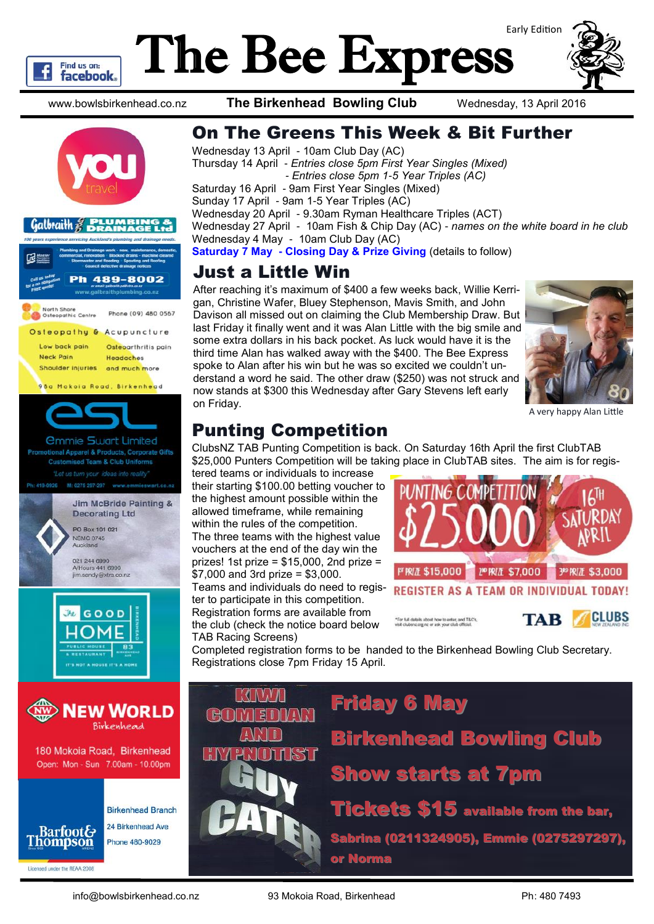

# The Bee Express Early Edition



www.bowlsbirkenhead.co.nz **The Birkenhead Bowling Club** Wednesday, 13 April 2016







Thursday 14 April - *Entries close 5pm First Year Singles (Mixed) - Entries close 5pm 1-5 Year Triples (AC)* Saturday 16 April - 9am First Year Singles (Mixed) Sunday 17 April - 9am 1-5 Year Triples (AC) Wednesday 20 April - 9.30am Ryman Healthcare Triples (ACT) Wednesday 27 April - 10am Fish & Chip Day (AC) - *names on the white board in he club* Wednesday 4 May - 10am Club Day (AC)

**Saturday 7 May - Closing Day & Prize Giving** (details to follow)

## Just a Little Win

After reaching it's maximum of \$400 a few weeks back, Willie Kerrigan, Christine Wafer, Bluey Stephenson, Mavis Smith, and John Davison all missed out on claiming the Club Membership Draw. But last Friday it finally went and it was Alan Little with the big smile and some extra dollars in his back pocket. As luck would have it is the third time Alan has walked away with the \$400. The Bee Express spoke to Alan after his win but he was so excited we couldn't understand a word he said. The other draw (\$250) was not struck and now stands at \$300 this Wednesday after Gary Stevens left early on Friday.



A very happy Alan Little

## Punting Competition

ClubsNZ TAB Punting Competition is back. On Saturday 16th April the first ClubTAB \$25,000 Punters Competition will be taking place in ClubTAB sites. The aim is for regis-

tered teams or individuals to increase their starting \$100.00 betting voucher to the highest amount possible within the allowed timeframe, while remaining within the rules of the competition. The three teams with the highest value vouchers at the end of the day win the prizes! 1st prize =  $$15,000$ , 2nd prize = \$7,000 and 3rd prize = \$3,000.

Teams and individuals do need to register to participate in this competition. Registration forms are available from the club (check the notice board below TAB Racing Screens)



Completed registration forms to be handed to the Birkenhead Bowling Club Secretary. Registrations close 7pm Friday 15 April.



180 Mokoia Road, Birkenhead Open: Mon - Sun 7.00am - 10.00pm



**Birkenhead Branch** 24 Birkenhead Ave Phone 480-9029



Birkenhead Bowling Club Show starts at 7pm

Tickets \$15 available from the bar, Sabrina (0211324905), Emmie (0275297297), or Norma